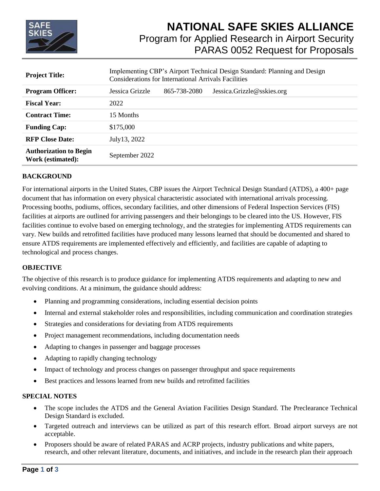

| <b>Project Title:</b>                              | Implementing CBP's Airport Technical Design Standard: Planning and Design<br><b>Considerations for International Arrivals Facilities</b> |              |                            |
|----------------------------------------------------|------------------------------------------------------------------------------------------------------------------------------------------|--------------|----------------------------|
| <b>Program Officer:</b>                            | Jessica Grizzle                                                                                                                          | 865-738-2080 | Jessica.Grizzle@sskies.org |
| <b>Fiscal Year:</b>                                | 2022                                                                                                                                     |              |                            |
| <b>Contract Time:</b>                              | 15 Months                                                                                                                                |              |                            |
| <b>Funding Cap:</b>                                | \$175,000                                                                                                                                |              |                            |
| <b>RFP Close Date:</b>                             | July 13, 2022                                                                                                                            |              |                            |
| <b>Authorization to Begin</b><br>Work (estimated): | September 2022                                                                                                                           |              |                            |

#### **BACKGROUND**

For international airports in the United States, CBP issues the Airport Technical Design Standard (ATDS), a 400+ page document that has information on every physical characteristic associated with international arrivals processing. Processing booths, podiums, offices, secondary facilities, and other dimensions of Federal Inspection Services (FIS) facilities at airports are outlined for arriving passengers and their belongings to be cleared into the US. However, FIS facilities continue to evolve based on emerging technology, and the strategies for implementing ATDS requirements can vary. New builds and retrofitted facilities have produced many lessons learned that should be documented and shared to ensure ATDS requirements are implemented effectively and efficiently, and facilities are capable of adapting to technological and process changes.

#### **OBJECTIVE**

The objective of this research is to produce guidance for implementing ATDS requirements and adapting to new and evolving conditions. At a minimum, the guidance should address:

- Planning and programming considerations, including essential decision points
- Internal and external stakeholder roles and responsibilities, including communication and coordination strategies
- Strategies and considerations for deviating from ATDS requirements
- Project management recommendations, including documentation needs
- Adapting to changes in passenger and baggage processes
- Adapting to rapidly changing technology
- Impact of technology and process changes on passenger throughput and space requirements
- Best practices and lessons learned from new builds and retrofitted facilities

#### **SPECIAL NOTES**

- The scope includes the ATDS and the General Aviation Facilities Design Standard. The Preclearance Technical Design Standard is excluded.
- Targeted outreach and interviews can be utilized as part of this research effort. Broad airport surveys are not acceptable.
- Proposers should be aware of related PARAS and ACRP projects, industry publications and white papers, research, and other relevant literature, documents, and initiatives, and include in the research plan their approach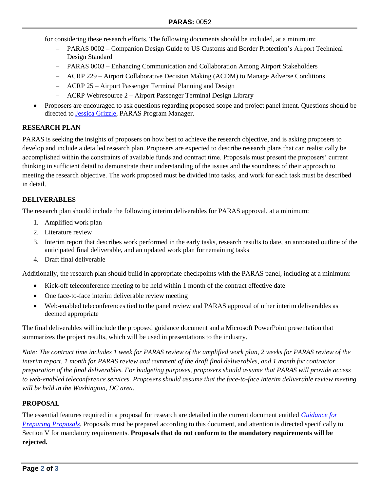for considering these research efforts. The following documents should be included, at a minimum:

- ‒ PARAS 0002 Companion Design Guide to US Customs and Border Protection's Airport Technical Design Standard
- ‒ PARAS 0003 Enhancing Communication and Collaboration Among Airport Stakeholders
- ‒ ACRP 229 Airport Collaborative Decision Making (ACDM) to Manage Adverse Conditions
- ‒ ACRP 25 Airport Passenger Terminal Planning and Design
- ACRP Webresource 2 Airport Passenger Terminal Design Library
- Proposers are encouraged to ask questions regarding proposed scope and project panel intent. Questions should be directed to **Jessica Grizzle**, PARAS Program Manager.

# **RESEARCH PLAN**

PARAS is seeking the insights of proposers on how best to achieve the research objective, and is asking proposers to develop and include a detailed research plan. Proposers are expected to describe research plans that can realistically be accomplished within the constraints of available funds and contract time. Proposals must present the proposers' current thinking in sufficient detail to demonstrate their understanding of the issues and the soundness of their approach to meeting the research objective. The work proposed must be divided into tasks, and work for each task must be described in detail.

# **DELIVERABLES**

The research plan should include the following interim deliverables for PARAS approval, at a minimum:

- 1. Amplified work plan
- 2. Literature review
- 3. Interim report that describes work performed in the early tasks, research results to date, an annotated outline of the anticipated final deliverable, and an updated work plan for remaining tasks
- 4. Draft final deliverable

Additionally, the research plan should build in appropriate checkpoints with the PARAS panel, including at a minimum:

- Kick-off teleconference meeting to be held within 1 month of the contract effective date
- One face-to-face interim deliverable review meeting
- Web-enabled teleconferences tied to the panel review and PARAS approval of other interim deliverables as deemed appropriate

The final deliverables will include the proposed guidance document and a Microsoft PowerPoint presentation that summarizes the project results, which will be used in presentations to the industry.

*Note: The contract time includes 1 week for PARAS review of the amplified work plan, 2 weeks for PARAS review of the interim report, 1 month for PARAS review and comment of the draft final deliverables, and 1 month for contractor preparation of the final deliverables. For budgeting purposes, proposers should assume that PARAS will provide access to web-enabled teleconference services. Proposers should assume that the face-to-face interim deliverable review meeting will be held in the Washington, DC area.*

### **PROPOSAL**

The essential features required in a proposal for research are detailed in the current document entitled *[Guidance for](https://www.sskies.org/paras/program-materials/) Preparing [Proposals.](https://www.sskies.org/paras/program-materials/)* Proposals must be prepared according to this document, and attention is directed specifically to Section V for mandatory requirements. **Proposals that do not conform to the mandatory requirements will be rejected.**